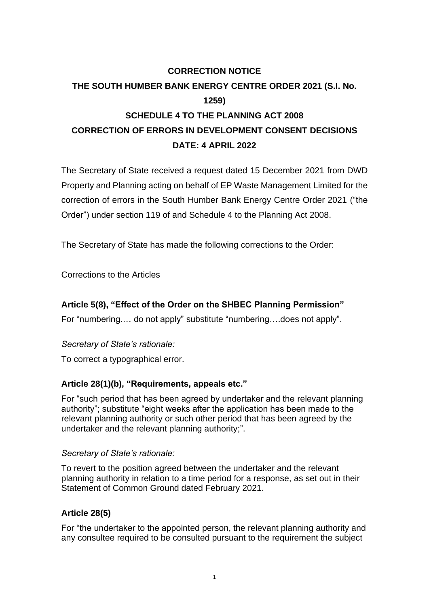# **CORRECTION NOTICE THE SOUTH HUMBER BANK ENERGY CENTRE ORDER 2021 (S.I. No. 1259) SCHEDULE 4 TO THE PLANNING ACT 2008 CORRECTION OF ERRORS IN DEVELOPMENT CONSENT DECISIONS DATE: 4 APRIL 2022**

The Secretary of State received a request dated 15 December 2021 from DWD Property and Planning acting on behalf of EP Waste Management Limited for the correction of errors in the South Humber Bank Energy Centre Order 2021 ("the Order") under section 119 of and Schedule 4 to the Planning Act 2008.

The Secretary of State has made the following corrections to the Order:

### Corrections to the Articles

## **Article 5(8), "Effect of the Order on the SHBEC Planning Permission"**

For "numbering.… do not apply" substitute "numbering….does not apply".

### *Secretary of State's rationale:*

To correct a typographical error.

### **Article 28(1)(b), "Requirements, appeals etc."**

For "such period that has been agreed by undertaker and the relevant planning authority"; substitute "eight weeks after the application has been made to the relevant planning authority or such other period that has been agreed by the undertaker and the relevant planning authority;".

#### *Secretary of State's rationale:*

To revert to the position agreed between the undertaker and the relevant planning authority in relation to a time period for a response, as set out in their Statement of Common Ground dated February 2021.

### **Article 28(5)**

For "the undertaker to the appointed person, the relevant planning authority and any consultee required to be consulted pursuant to the requirement the subject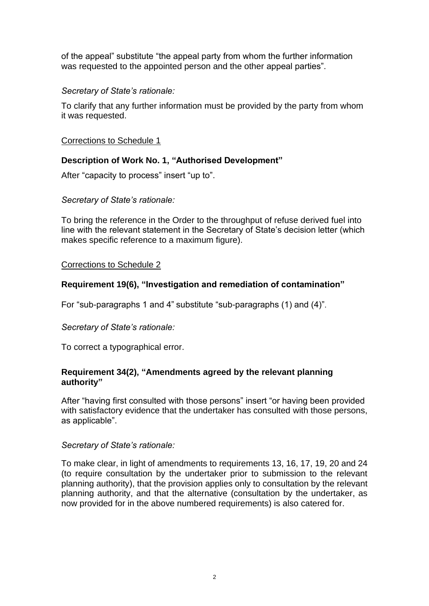of the appeal" substitute "the appeal party from whom the further information was requested to the appointed person and the other appeal parties".

## *Secretary of State's rationale:*

To clarify that any further information must be provided by the party from whom it was requested.

### Corrections to Schedule 1

## **Description of Work No. 1, "Authorised Development"**

After "capacity to process" insert "up to".

### *Secretary of State's rationale:*

To bring the reference in the Order to the throughput of refuse derived fuel into line with the relevant statement in the Secretary of State's decision letter (which makes specific reference to a maximum figure).

## Corrections to Schedule 2

## **Requirement 19(6), "Investigation and remediation of contamination"**

For "sub-paragraphs 1 and 4" substitute "sub-paragraphs (1) and (4)".

### *Secretary of State's rationale:*

To correct a typographical error.

## **Requirement 34(2), "Amendments agreed by the relevant planning authority"**

After "having first consulted with those persons" insert "or having been provided with satisfactory evidence that the undertaker has consulted with those persons, as applicable".

### *Secretary of State's rationale:*

To make clear, in light of amendments to requirements 13, 16, 17, 19, 20 and 24 (to require consultation by the undertaker prior to submission to the relevant planning authority), that the provision applies only to consultation by the relevant planning authority, and that the alternative (consultation by the undertaker, as now provided for in the above numbered requirements) is also catered for.